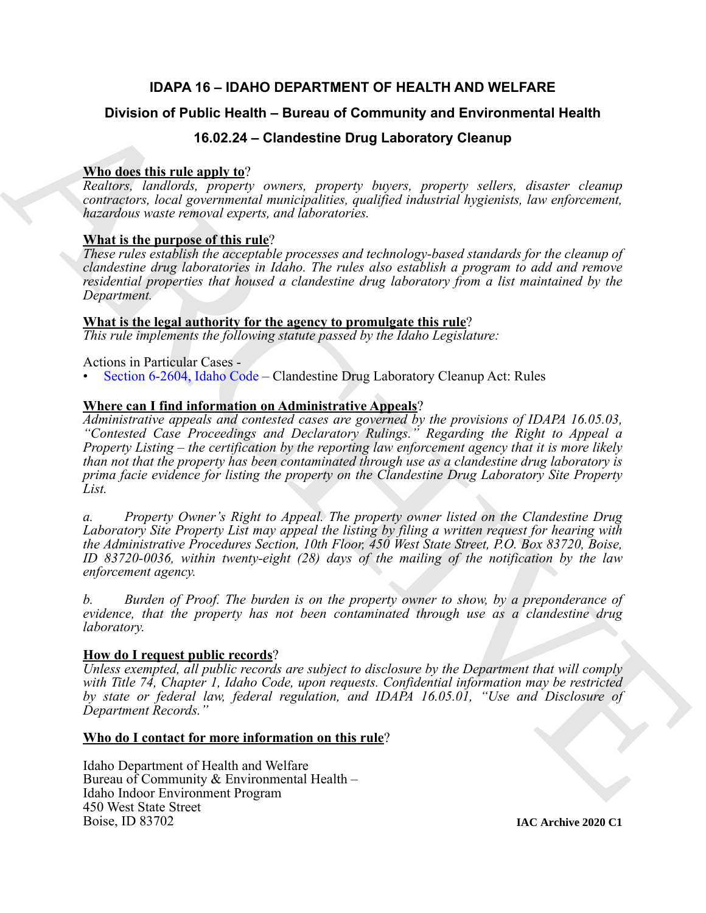# **IDAPA 16 – IDAHO DEPARTMENT OF HEALTH AND WELFARE**

# **Division of Public Health – Bureau of Community and Environmental Health**

# **16.02.24 – Clandestine Drug Laboratory Cleanup**

# **Who does this rule apply to**?

*Realtors, landlords, property owners, property buyers, property sellers, disaster cleanup contractors, local governmental municipalities, qualified industrial hygienists, law enforcement, hazardous waste removal experts, and laboratories.*

# **What is the purpose of this rule**?

*These rules establish the acceptable processes and technology-based standards for the cleanup of clandestine drug laboratories in Idaho. The rules also establish a program to add and remove residential properties that housed a clandestine drug laboratory from a list maintained by the Department.*

# **What is the legal authority for the agency to promulgate this rule**?

*This rule implements the following statute passed by the Idaho Legislature:*

Actions in Particular Cases -

• Section 6-2604, Idaho Code – Clandestine Drug Laboratory Cleanup Act: Rules

# **Where can I find information on Administrative Appeals**?

Division of Public Health - Bureau of Community and Environmental Health<br>
Which describes and the 2024 - Clandestine Drug Laboratory Cleanual<br>
Ninosa, the same transportant and the same transportant and the same transport *Administrative appeals and contested cases are governed by the provisions of IDAPA 16.05.03, "Contested Case Proceedings and Declaratory Rulings." Regarding the Right to Appeal a Property Listing – the certification by the reporting law enforcement agency that it is more likely than not that the property has been contaminated through use as a clandestine drug laboratory is prima facie evidence for listing the property on the Clandestine Drug Laboratory Site Property List.*

*a. Property Owner's Right to Appeal. The property owner listed on the Clandestine Drug Laboratory Site Property List may appeal the listing by filing a written request for hearing with the Administrative Procedures Section, 10th Floor, 450 West State Street, P.O. Box 83720, Boise, ID 83720-0036, within twenty-eight (28) days of the mailing of the notification by the law enforcement agency.*

*b. Burden of Proof. The burden is on the property owner to show, by a preponderance of evidence, that the property has not been contaminated through use as a clandestine drug laboratory.*

## **How do I request public records**?

*Unless exempted, all public records are subject to disclosure by the Department that will comply with Title 74, Chapter 1, Idaho Code, upon requests. Confidential information may be restricted by state or federal law, federal regulation, and IDAPA 16.05.01, "Use and Disclosure of Department Records."*

## **Who do I contact for more information on this rule**?

Idaho Department of Health and Welfare Bureau of Community & Environmental Health – Idaho Indoor Environment Program 450 West State Street Boise, ID 83702

**IAC Archive 2020 C1**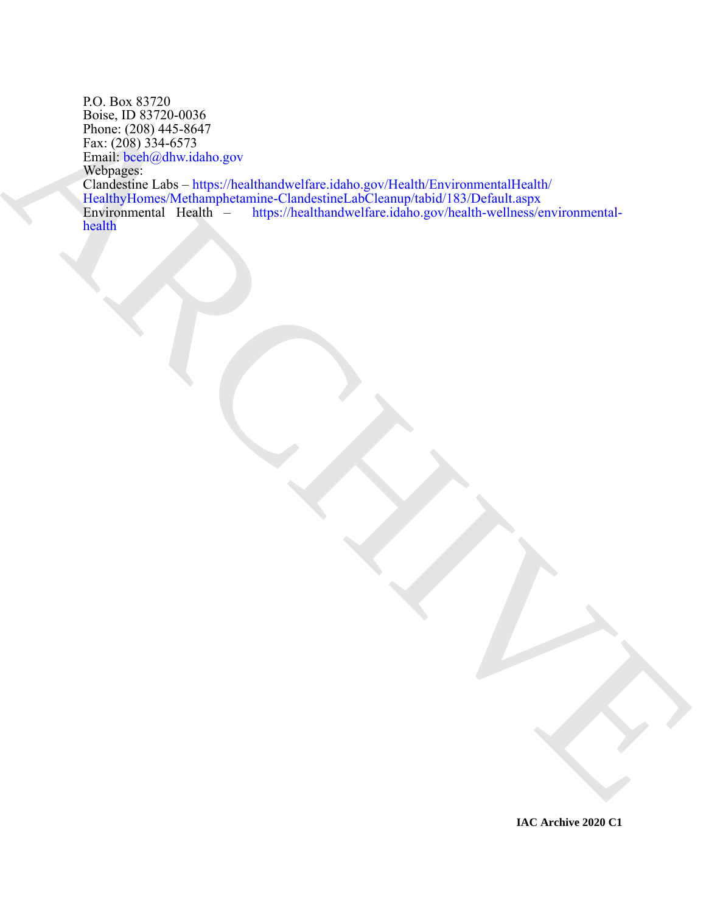Book (B. 1975)<br>
Phone, (200) 445-8647<br>
Phone (200) 445-8647<br>
Phone (200) 445-8647<br>
Marchives McDanagher Links port<br>
Marchives McDanagher Links in the Christian of Carolina and Christian School (KTM-fail Lincoln<br>
Handborn C P.O. Box 83720 Boise, ID 83720-0036 Phone: (208) 445-8647 Fax: (208) 334-6573 Email: bceh@dhw.idaho.gov Webpages: Clandestine Labs – https://healthandwelfare.idaho.gov/Health/EnvironmentalHealth/ HealthyHomes/Methamphetamine-ClandestineLabCleanup/tabid/183/Default.aspx<br>Environmental Health - https://healthandwelfare.idaho.gov/health-wellness/ei https://healthandwelfare.idaho.gov/health-wellness/environmentalhealth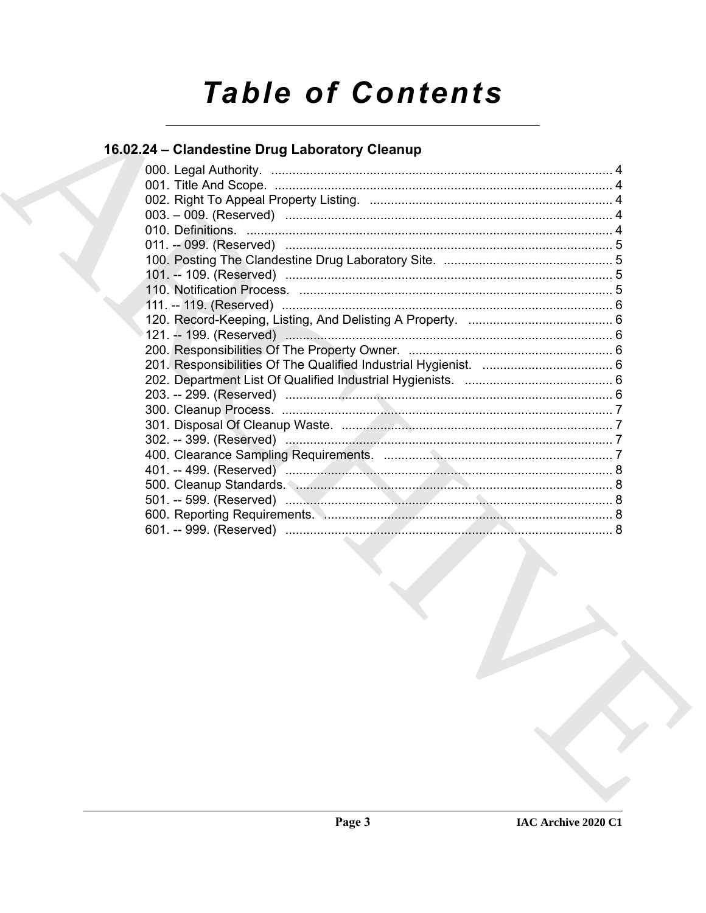# **Table of Contents**

# 16.02.24 - Clandestine Drug Laboratory Cleanup

| the contract of the contract of the contract of the contract of the contract of the contract of the contract of<br>the contract of the contract of the contract of the contract of the contract of |  |
|----------------------------------------------------------------------------------------------------------------------------------------------------------------------------------------------------|--|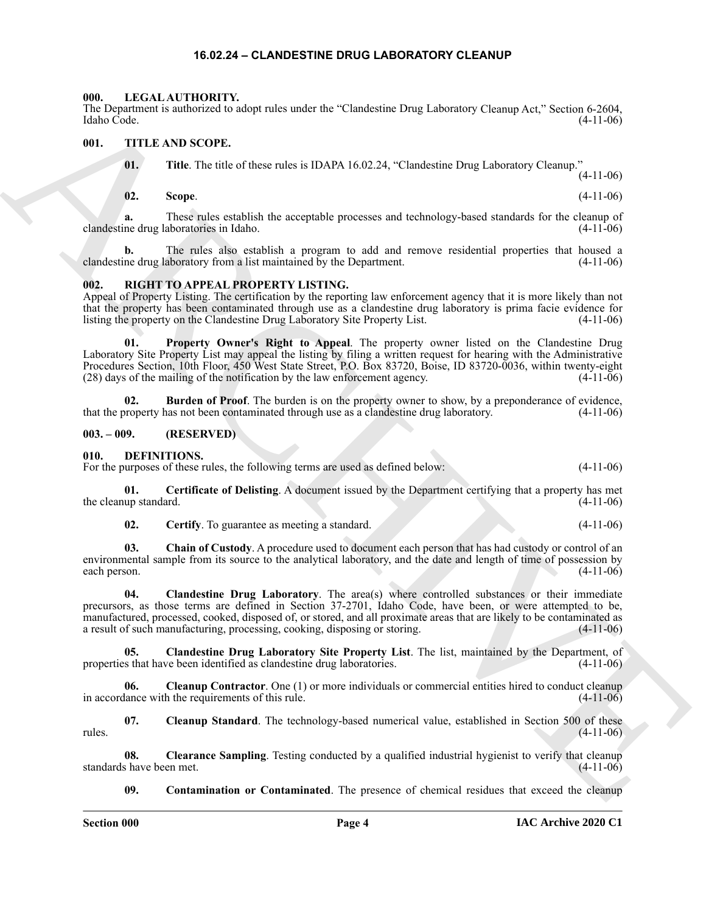#### **16.02.24 – CLANDESTINE DRUG LABORATORY CLEANUP**

#### <span id="page-3-16"></span><span id="page-3-1"></span><span id="page-3-0"></span>**000. LEGAL AUTHORITY.**

The Department is authorized to adopt rules under the "Clandestine Drug Laboratory Cleanup Act," Section 6-2604, Idaho Code. (4-11-06)

#### <span id="page-3-2"></span>**001. TITLE AND SCOPE.**

<span id="page-3-20"></span>**01.** Title. The title of these rules is IDAPA 16.02.24, "Clandestine Drug Laboratory Cleanup." (4-11-06)

**02. Scope**. (4-11-06)

**a.** These rules establish the acceptable processes and technology-based standards for the cleanup of clandestine drug laboratories in Idaho. (4-11-06)

**b.** The rules also establish a program to add and remove residential properties that housed a clandestine drug laboratory from a list maintained by the Department. (4-11-06)

#### <span id="page-3-17"></span><span id="page-3-3"></span>**002. RIGHT TO APPEAL PROPERTY LISTING.**

<span id="page-3-19"></span>Appeal of Property Listing. The certification by the reporting law enforcement agency that it is more likely than not that the property has been contaminated through use as a clandestine drug laboratory is prima facie evidence for listing the property on the Clandestine Drug Laboratory Site Property List. (4-11-06)

The Cystematics are between the states and contracts are contracts are controlled to the comparison of the states and the state of the state of the state of the state of the state of the state of the state of the state of **01. Property Owner's Right to Appeal**. The property owner listed on the Clandestine Drug Laboratory Site Property List may appeal the listing by filing a written request for hearing with the Administrative Procedures Section, 10th Floor, 450 West State Street, P.O. Box 83720, Boise, ID 83720-0036, within twenty-eight (28) days of the mailing of the notification by the law enforcement agency. (4-11-06)

<span id="page-3-18"></span>**02. Burden of Proof**. The burden is on the property owner to show, by a preponderance of evidence, that the property has not been contaminated through use as a clandestine drug laboratory. (4-11-06)

#### <span id="page-3-4"></span>**003. – 009. (RESERVED)**

#### <span id="page-3-6"></span><span id="page-3-5"></span>**010. DEFINITIONS.**

For the purposes of these rules, the following terms are used as defined below:  $(4-11-06)$ 

**01. Certificate of Delisting**. A document issued by the Department certifying that a property has met the cleanup standard. (4-11-06)

<span id="page-3-10"></span><span id="page-3-9"></span><span id="page-3-8"></span><span id="page-3-7"></span>**02. Certify**. To guarantee as meeting a standard. (4-11-06)

**03. Chain of Custody**. A procedure used to document each person that has had custody or control of an environmental sample from its source to the analytical laboratory, and the date and length of time of possession by each person.  $(4-11-06)$ 

**04. Clandestine Drug Laboratory**. The area(s) where controlled substances or their immediate precursors, as those terms are defined in Section 37-2701, Idaho Code, have been, or were attempted to be, manufactured, processed, cooked, disposed of, or stored, and all proximate areas that are likely to be contaminated as a result of such manufacturing, processing, cooking, disposing or storing. (4-11-06)

<span id="page-3-11"></span>**05. Clandestine Drug Laboratory Site Property List**. The list, maintained by the Department, of properties that have been identified as clandestine drug laboratories. (4-11-06)

<span id="page-3-12"></span>**06. Cleanup Contractor**. One (1) or more individuals or commercial entities hired to conduct cleanup in accordance with the requirements of this rule. (4-11-06)

<span id="page-3-13"></span>**07. Cleanup Standard**. The technology-based numerical value, established in Section 500 of these  $r = (4-11-06)$ 

**08.** Clearance Sampling. Testing conducted by a qualified industrial hygienist to verify that cleanup standards have been met. (4-11-06)

<span id="page-3-15"></span><span id="page-3-14"></span>**09. Contamination or Contaminated**. The presence of chemical residues that exceed the cleanup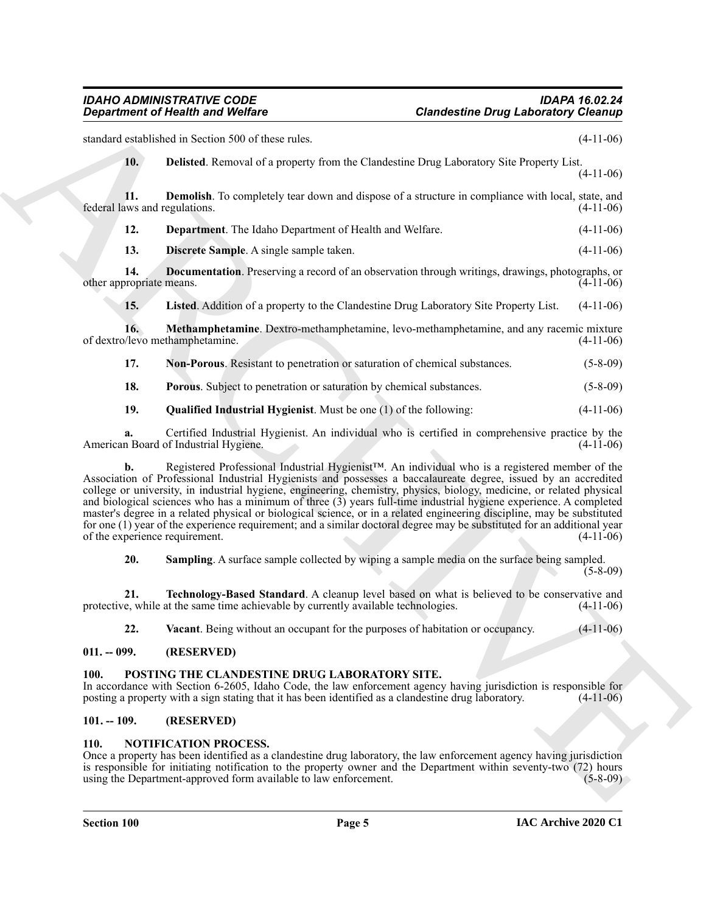#### *IDAHO ADMINISTRATIVE CODE IDAPA 16.02.24 Department of Health and Welfare Clandestine Drug Laboratory Cleanup*

standard established in Section 500 of these rules. (4-11-06)

<span id="page-4-4"></span>

|  | Delisted. Removal of a property from the Clandestine Drug Laboratory Site Property List. |
|--|------------------------------------------------------------------------------------------|
|  | $(4-11-06)$                                                                              |

**11. Demolish**. To completely tear down and dispose of a structure in compliance with local, state, and ws and regulations. (4-11-06) federal laws and regulations.

<span id="page-4-7"></span><span id="page-4-6"></span><span id="page-4-5"></span>**12. Department**. The Idaho Department of Health and Welfare. (4-11-06)

<span id="page-4-8"></span>**13. Discrete Sample**. A single sample taken. (4-11-06)

**14. Documentation**. Preserving a record of an observation through writings, drawings, photographs, or other appropriate means. (4-11-06)

<span id="page-4-10"></span><span id="page-4-9"></span>**15. Listed**. Addition of a property to the Clandestine Drug Laboratory Site Property List. (4-11-06)

**16. Methamphetamine**. Dextro-methamphetamine, levo-methamphetamine, and any racemic mixture (//levo methamphetamine.) (4-11-06) of dextro/levo methamphetamine.

<span id="page-4-11"></span>**17. Non-Porous**. Resistant to penetration or saturation of chemical substances. (5-8-09)

<span id="page-4-12"></span>**18. Porous**. Subject to penetration or saturation by chemical substances. (5-8-09)

<span id="page-4-13"></span>**19. Qualified Industrial Hygienist**. Must be one (1) of the following: (4-11-06)

**a.** Certified Industrial Hygienist. An individual who is certified in comprehensive practice by the n Board of Industrial Hygiene. (4-11-06) American Board of Industrial Hygiene.

Graphenics of Health was Wolfres<br>
Schematical and Wolfres<br>
Analysis and Schematical and Schematical and Schematical and Schematical and Schematical and Schematical and Schematical and Schematical and Schematical and Schem **b.** Registered Professional Industrial Hygienist™. An individual who is a registered member of the Association of Professional Industrial Hygienists and possesses a baccalaureate degree, issued by an accredited college or university, in industrial hygiene, engineering, chemistry, physics, biology, medicine, or related physical and biological sciences who has a minimum of three (3) years full-time industrial hygiene experience. A completed master's degree in a related physical or biological science, or in a related engineering discipline, may be substituted for one (1) year of the experience requirement; and a similar doctoral degree may be substituted for an additional year of the experience requirement. (4-11-06) of the experience requirement.

<span id="page-4-15"></span><span id="page-4-14"></span>**20. Sampling**. A surface sample collected by wiping a sample media on the surface being sampled. (5-8-09)

**21. Technology-Based Standard**. A cleanup level based on what is believed to be conservative and protective, while at the same time achievable by currently available technologies. (4-11-06)

<span id="page-4-18"></span><span id="page-4-16"></span>**22. Vacant**. Being without an occupant for the purposes of habitation or occupancy. (4-11-06)

### <span id="page-4-0"></span>**011. -- 099. (RESERVED)**

### <span id="page-4-1"></span>**100. POSTING THE CLANDESTINE DRUG LABORATORY SITE.**

In accordance with Section 6-2605, Idaho Code, the law enforcement agency having jurisdiction is responsible for posting a property with a sign stating that it has been identified as a clandestine drug laboratory. (4-11-06)

#### <span id="page-4-2"></span>**101. -- 109. (RESERVED)**

#### <span id="page-4-17"></span><span id="page-4-3"></span>**110. NOTIFICATION PROCESS.**

Once a property has been identified as a clandestine drug laboratory, the law enforcement agency having jurisdiction is responsible for initiating notification to the property owner and the Department within seventy-two (72) hours<br>using the Department-approved form available to law enforcement. (5-8-09) using the Department-approved form available to law enforcement.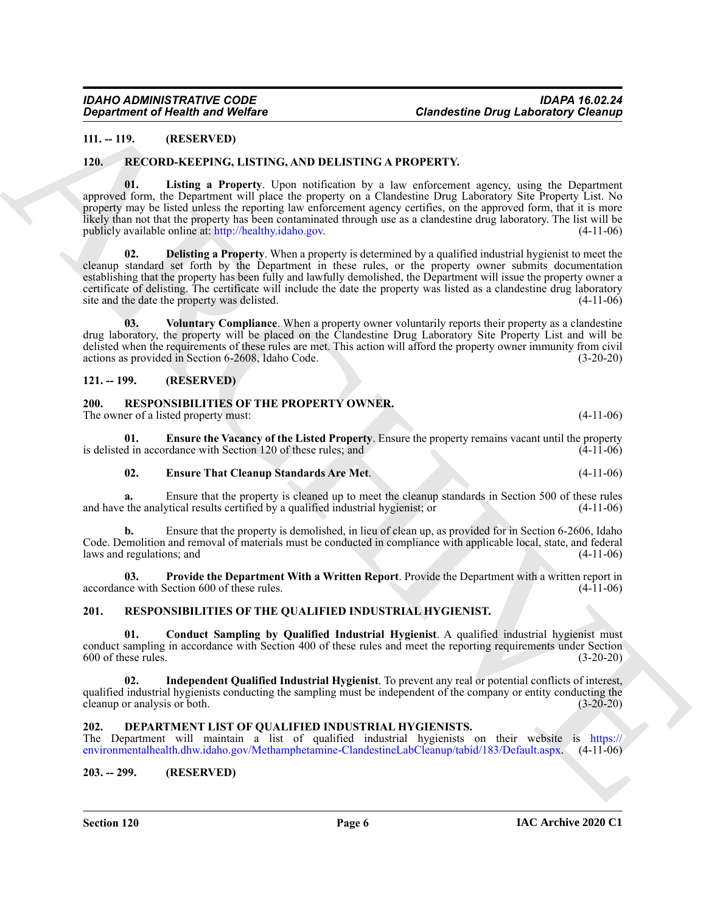#### <span id="page-5-8"></span><span id="page-5-0"></span>**111. -- 119. (RESERVED)**

#### <span id="page-5-10"></span><span id="page-5-1"></span>**120. RECORD-KEEPING, LISTING, AND DELISTING A PROPERTY.**

A[R](http://healthy.idaho.gov)CHIV[E](https://environmentalhealth.dhw.idaho.gov/Methamphetamine-ClandestineLabCleanup/tabid/183/Default.aspx) **01. Listing a Property**. Upon notification by a law enforcement agency, using the Department approved form, the Department will place the property on a Clandestine Drug Laboratory Site Property List. No property may be listed unless the reporting law enforcement agency certifies, on the approved form, that it is more likely than not that the property has been contaminated through use as a clandestine drug laboratory. The list will be publicly available online at: http://healthy.idaho.gov. (4-11-06)

<span id="page-5-9"></span>**02. Delisting a Property**. When a property is determined by a qualified industrial hygienist to meet the cleanup standard set forth by the Department in these rules, or the property owner submits documentation establishing that the property has been fully and lawfully demolished, the Department will issue the property owner a certificate of delisting. The certificate will include the date the property was listed as a clandestine drug laboratory site and the date the property was delisted. (4-11-06)

<span id="page-5-11"></span>**03. Voluntary Compliance**. When a property owner voluntarily reports their property as a clandestine drug laboratory, the property will be placed on the Clandestine Drug Laboratory Site Property List and will be delisted when the requirements of these rules are met. This action will afford the property owner immunity from civil actions as provided in Section 6-2608, Idaho Code. (3-20-20)

#### <span id="page-5-2"></span>**121. -- 199. (RESERVED)**

### <span id="page-5-12"></span><span id="page-5-3"></span>**200. RESPONSIBILITIES OF THE PROPERTY OWNER.**

The owner of a listed property must: (4-11-06)

**01. Ensure the Vacancy of the Listed Property**. Ensure the property remains vacant until the property is delisted in accordance with Section 120 of these rules; and

#### <span id="page-5-14"></span><span id="page-5-13"></span>**02. Ensure That Cleanup Standards Are Met**. (4-11-06)

**a.** Ensure that the property is cleaned up to meet the cleanup standards in Section 500 of these rules and have the analytical results certified by a qualified industrial hygienist; or (4-11-06)

**b.** Ensure that the property is demolished, in lieu of clean up, as provided for in Section 6-2606, Idaho Code. Demolition and removal of materials must be conducted in compliance with applicable local, state, and federal laws and regulations; and (4-11-06)

<span id="page-5-15"></span>**03.** Provide the Department With a Written Report. Provide the Department with a written report in ce with Section 600 of these rules. (4-11-06) accordance with Section 600 of these rules.

### <span id="page-5-16"></span><span id="page-5-4"></span>**201. RESPONSIBILITIES OF THE QUALIFIED INDUSTRIAL HYGIENIST.**

<span id="page-5-17"></span>**01. Conduct Sampling by Qualified Industrial Hygienist**. A qualified industrial hygienist must conduct sampling in accordance with Section 400 of these rules and meet the reporting requirements under Section 600 of these rules.<br>(3-20-20)  $600$  of these rules.

<span id="page-5-18"></span>**02. Independent Qualified Industrial Hygienist**. To prevent any real or potential conflicts of interest, qualified industrial hygienists conducting the sampling must be independent of the company or entity conducting the cleanup or analysis or both. (3-20-20) cleanup or analysis or both.

#### <span id="page-5-7"></span><span id="page-5-5"></span>**202. DEPARTMENT LIST OF QUALIFIED INDUSTRIAL HYGIENISTS.**

The Department will maintain a list of qualified industrial hygienists on their website is https:// environmentalhealth.dhw.idaho.gov/Methamphetamine-ClandestineLabCleanup/tabid/183/Default.aspx. (4-11-06)

#### <span id="page-5-6"></span>**203. -- 299. (RESERVED)**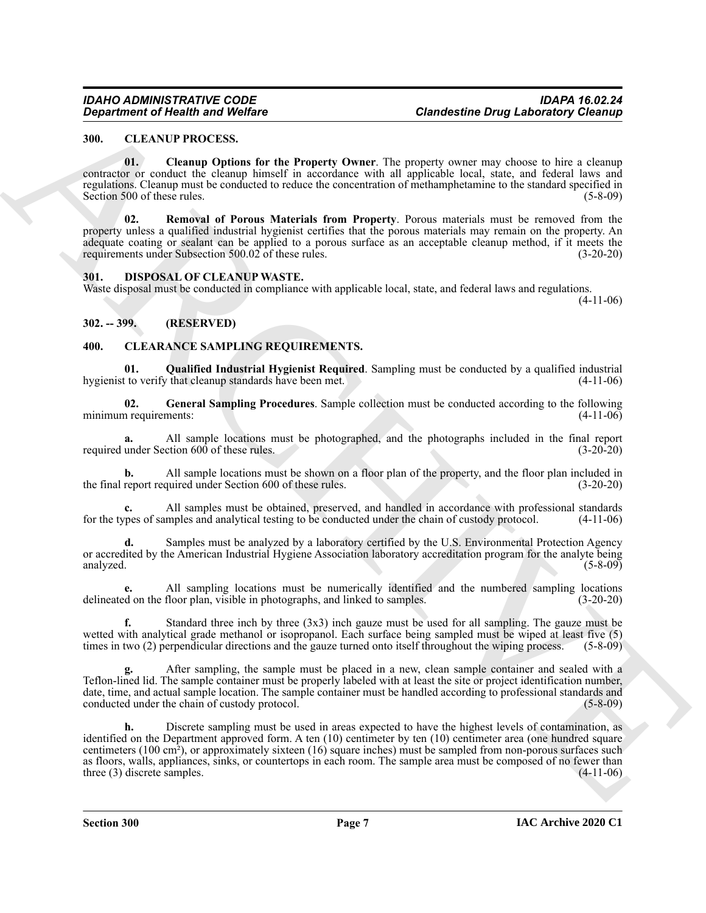### <span id="page-6-4"></span><span id="page-6-0"></span>**300. CLEANUP PROCESS.**

<span id="page-6-5"></span>**01. Cleanup Options for the Property Owner**. The property owner may choose to hire a cleanup contractor or conduct the cleanup himself in accordance with all applicable local, state, and federal laws and regulations. Cleanup must be conducted to reduce the concentration of methamphetamine to the standard specified in Section 500 of these rules. (5-8-09)

<span id="page-6-6"></span>**02. Removal of Porous Materials from Property**. Porous materials must be removed from the property unless a qualified industrial hygienist certifies that the porous materials may remain on the property. An adequate coating or sealant can be applied to a porous surface as an acceptable cleanup method, if it meets the requirements under Subsection 500.02 of these rules. (3-20-20)

#### <span id="page-6-10"></span><span id="page-6-1"></span>**301. DISPOSAL OF CLEANUP WASTE.**

Waste disposal must be conducted in compliance with applicable local, state, and federal laws and regulations.

 $(4-11-06)$ 

### <span id="page-6-2"></span>**302. -- 399. (RESERVED)**

#### <span id="page-6-7"></span><span id="page-6-3"></span>**400. CLEARANCE SAMPLING REQUIREMENTS.**

<span id="page-6-9"></span>**01. Qualified Industrial Hygienist Required**. Sampling must be conducted by a qualified industrial hygienist to verify that cleanup standards have been met.

<span id="page-6-8"></span>**02. General Sampling Procedures**. Sample collection must be conducted according to the following minimum requirements: (4-11-06)

**a.** All sample locations must be photographed, and the photographs included in the final report under Section 600 of these rules. (3-20-20) required under Section  $600$  of these rules.

**b.** All sample locations must be shown on a floor plan of the property, and the floor plan included in report required under Section 600 of these rules. (3-20-20) the final report required under Section 600 of these rules.

**c.** All samples must be obtained, preserved, and handled in accordance with professional standards for the types of samples and analytical testing to be conducted under the chain of custody protocol. (4-11-06)

**d.** Samples must be analyzed by a laboratory certified by the U.S. Environmental Protection Agency or accredited by the American Industrial Hygiene Association laboratory accreditation program for the analyte being analyzed. (5-8-09)

**e.** All sampling locations must be numerically identified and the numbered sampling locations delineated on the floor plan, visible in photographs, and linked to samples. (3-20-20)

**f.** Standard three inch by three (3x3) inch gauze must be used for all sampling. The gauze must be wetted with analytical grade methanol or isopropanol. Each surface being sampled must be wiped at least five (5) times in two (2) perpendicular directions and the gauze turned onto itself throughout the wiping process. (5-8-09)

**g.** After sampling, the sample must be placed in a new, clean sample container and sealed with a Teflon-lined lid. The sample container must be properly labeled with at least the site or project identification number, date, time, and actual sample location. The sample container must be handled according to professional standards and conducted under the chain of custody protocol. (5-8-09) conducted under the chain of custody protocol.

**Condestine Critique In Wolfing Condestine Drug Laboratory City and <br>
SULLANDITION (2003). The condesting of the strength of the strength of the strength of the strength of the strength of the strength of the strength of h.** Discrete sampling must be used in areas expected to have the highest levels of contamination, as identified on the Department approved form. A ten (10) centimeter by ten (10) centimeter area (one hundred square centimeters (100 cm²), or approximately sixteen (16) square inches) must be sampled from non-porous surfaces such as floors, walls, appliances, sinks, or countertops in each room. The sample area must be composed of no fewer than three (3) discrete samples. (4-11-06) three  $(3)$  discrete samples.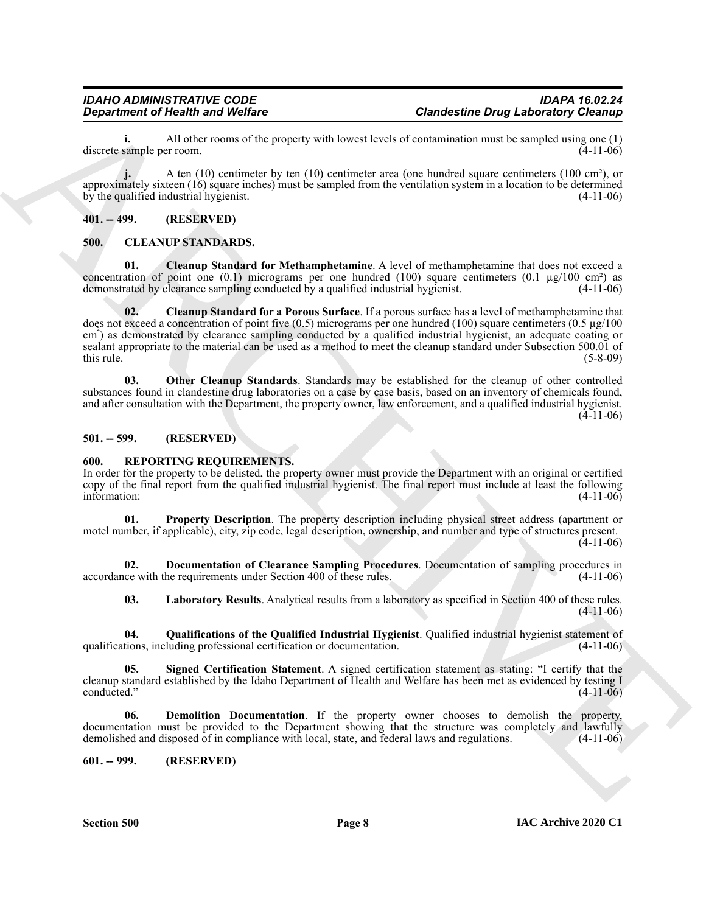**i.** All other rooms of the property with lowest levels of contamination must be sampled using one (1) sample per room. (4-11-06) discrete sample per room.

**j.** A ten (10) centimeter by ten (10) centimeter area (one hundred square centimeters (100 cm<sup>2</sup>), or approximately sixteen (16) square inches) must be sampled from the ventilation system in a location to be determined by the qualified industrial hygienist. (4-11-06)

### <span id="page-7-0"></span>**401. -- 499. (RESERVED)**

#### <span id="page-7-5"></span><span id="page-7-1"></span>**500. CLEANUP STANDARDS.**

<span id="page-7-7"></span><span id="page-7-6"></span>**01. Cleanup Standard for Methamphetamine**. A level of methamphetamine that does not exceed a concentration of point one  $(0.1)$  micrograms per one hundred  $(100)$  square centimeters  $(0.1 \text{ µg}/100 \text{ cm}^2)$  as demonstrated by clearance sampling conducted by a qualified industrial hygienist. (4-11-06)

Generation of Nearly and Wolfer<br>
discussions of Nearly Scholars (Scholars Control in the system state of Control in the system of the system of the system of the system of the system of the system of the system of the sys **02. Cleanup Standard for a Porous Surface**. If a porous surface has a level of methamphetamine that does not exceed a concentration of point five  $(0.5)$  micrograms per one hundred (100) square centimeters  $(0.5 \mu g/100)$ cm<sup>3</sup>) as demonstrated by clearance sampling conducted by a qualified industrial hygienist, an adequate coating or sealant appropriate to the material can be used as a method to meet the cleanup standard under Subsection 500.01 of  $t$ his rule. (5-8-09)

<span id="page-7-8"></span>**03. Other Cleanup Standards**. Standards may be established for the cleanup of other controlled substances found in clandestine drug laboratories on a case by case basis, based on an inventory of chemicals found, and after consultation with the Department, the property owner, law enforcement, and a qualified industrial hygienist.  $(4-11-06)$ 

#### <span id="page-7-2"></span>**501. -- 599. (RESERVED)**

#### <span id="page-7-9"></span><span id="page-7-3"></span>**600. REPORTING REQUIREMENTS.**

In order for the property to be delisted, the property owner must provide the Department with an original or certified copy of the final report from the qualified industrial hygienist. The final report must include at least the following information: (4-11-06)

<span id="page-7-13"></span>**01. Property Description**. The property description including physical street address (apartment or motel number, if applicable), city, zip code, legal description, ownership, and number and type of structures present. (4-11-06)

**02. Documentation of Clearance Sampling Procedures**. Documentation of sampling procedures in accordance with the requirements under Section 400 of these rules. (4-11-06)

<span id="page-7-15"></span><span id="page-7-14"></span><span id="page-7-12"></span><span id="page-7-11"></span>**03. Laboratory Results**. Analytical results from a laboratory as specified in Section 400 of these rules. (4-11-06)

**04. Qualifications of the Qualified Industrial Hygienist**. Qualified industrial hygienist statement of qualifications, including professional certification or documentation. (4-11-06)

**05. Signed Certification Statement**. A signed certification statement as stating: "I certify that the cleanup standard established by the Idaho Department of Health and Welfare has been met as evidenced by testing I conducted." (4-11-06)

<span id="page-7-10"></span>**06. Demolition Documentation**. If the property owner chooses to demolish the property, documentation must be provided to the Department showing that the structure was completely and lawfully demolished and disposed of in compliance with local, state, and federal laws and regulations. (4-11-06)

<span id="page-7-4"></span>**601. -- 999. (RESERVED)**